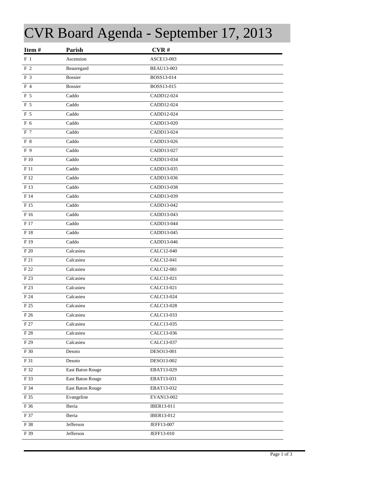## CVR Board Agenda - September 17, 2013

| Item#           | Parish           | CVR#              |
|-----------------|------------------|-------------------|
| $F_1$           | Ascension        | ASCE13-003        |
| $\rm F$ 2       | Beauregard       | <b>BEAU13-003</b> |
| F 3             | <b>Bossier</b>   | BOSS13-014        |
| F 4             | <b>Bossier</b>   | BOSS13-015        |
| F 5             | Caddo            | CADD12-024        |
| F 5             | Caddo            | CADD12-024        |
| F 5             | Caddo            | CADD12-024        |
| F 6             | Caddo            | CADD13-020        |
| F 7             | Caddo            | CADD13-024        |
| F 8             | Caddo            | CADD13-026        |
| F 9             | Caddo            | CADD13-027        |
| F 10            | Caddo            | CADD13-034        |
| F 11            | Caddo            | CADD13-035        |
| F 12            | Caddo            | CADD13-036        |
| F 13            | Caddo            | CADD13-038        |
| F 14            | Caddo            | CADD13-039        |
| F 15            | Caddo            | CADD13-042        |
| F 16            | Caddo            | CADD13-043        |
| F 17            | Caddo            | CADD13-044        |
| F 18            | Caddo            | CADD13-045        |
| F <sub>19</sub> | Caddo            | CADD13-046        |
| F 20            | Calcasieu        | CALC12-040        |
| F 21            | Calcasieu        | CALC12-041        |
| F 22            | Calcasieu        | CALC12-081        |
| F 23            | Calcasieu        | CALC13-021        |
| F 23            | Calcasieu        | CALC13-021        |
| F 24            | Calcasieu        | CALC13-024        |
| F 25            | Calcasieu        | CALC13-028        |
| F 26            | Calcasieu        | CALC13-033        |
| F 27            | Calcasieu        | CALC13-035        |
| F 28            | Calcasieu        | CALC13-036        |
| F 29            | Calcasieu        | CALC13-037        |
| F 30            | Desoto           | DESO13-001        |
| F 31            | Desoto           | DESO13-002        |
| F 32            | East Baton Rouge | EBAT13-029        |
| F 33            | East Baton Rouge | EBAT13-031        |
| F 34            | East Baton Rouge | EBAT13-032        |
| F 35            | Evangeline       | EVAN13-002        |
| F 36            | Iberia           | IBER13-011        |
| F 37            | Iberia           | IBER13-012        |
| F 38            | Jefferson        | JEFF13-007        |
| F 39            | Jefferson        | JEFF13-010        |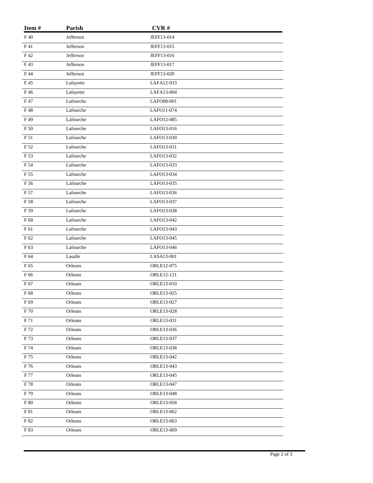| Item#           | Parish    | CVR#       |
|-----------------|-----------|------------|
| F40             | Jefferson | JEFF13-014 |
| F 41            | Jefferson | JEFF13-015 |
| F42             | Jefferson | JEFF13-016 |
| F43             | Jefferson | JEFF13-017 |
| F 44            | Jefferson | JEFF13-020 |
| F45             | Lafayette | LAFA12-033 |
| F46             | Lafayette | LAFA13-004 |
| F 47            | Lafourche | LAFO08-001 |
| F48             | Lafourche | LAFO11-074 |
| F49             | Lafourche | LAFO12-085 |
| F 50            | Lafourche | LAFO13-016 |
| F 51            | Lafourche | LAFO13-030 |
| F 52            | Lafourche | LAFO13-031 |
| F 53            | Lafourche | LAFO13-032 |
| F 54            | Lafourche | LAFO13-033 |
| F 55            | Lafourche | LAFO13-034 |
| F 56            | Lafourche | LAFO13-035 |
| F 57            | Lafourche | LAFO13-036 |
| F 58            | Lafourche | LAFO13-037 |
| F 59            | Lafourche | LAFO13-038 |
| ${\rm F}$ 60    | Lafourche | LAFO13-042 |
| F 61            | Lafourche | LAFO13-043 |
| F 62            | Lafourche | LAFO13-045 |
| F <sub>63</sub> | Lafourche | LAFO13-046 |
| F 64            | Lasalle   | LASA13-001 |
| F 65            | Orleans   | ORLE12-075 |
| F 66            | Orleans   | ORLE12-121 |
| F 67            | Orleans   | ORLE13-010 |
| F 68            | Orleans   | ORLE13-025 |
| F 69            | Orleans   | ORLE13-027 |
| ${\rm F}\,70$   | Orleans   | ORLE13-028 |
| F 71            | Orleans   | ORLE13-031 |
| F 72            | Orleans   | ORLE13-036 |
| F 73            | Orleans   | ORLE13-037 |
| F 74            | Orleans   | ORLE13-038 |
| F 75            | Orleans   | ORLE13-042 |
| F 76            | Orleans   | ORLE13-043 |
| F 77            | Orleans   | ORLE13-045 |
| F 78            | Orleans   | ORLE13-047 |
| F 79            | Orleans   | ORLE13-048 |
| F 80            | Orleans   | ORLE13-058 |
| F 81            | Orleans   | ORLE13-062 |
| F 82            | Orleans   | ORLE13-063 |
| F 83            | Orleans   | ORLE13-069 |
|                 |           |            |